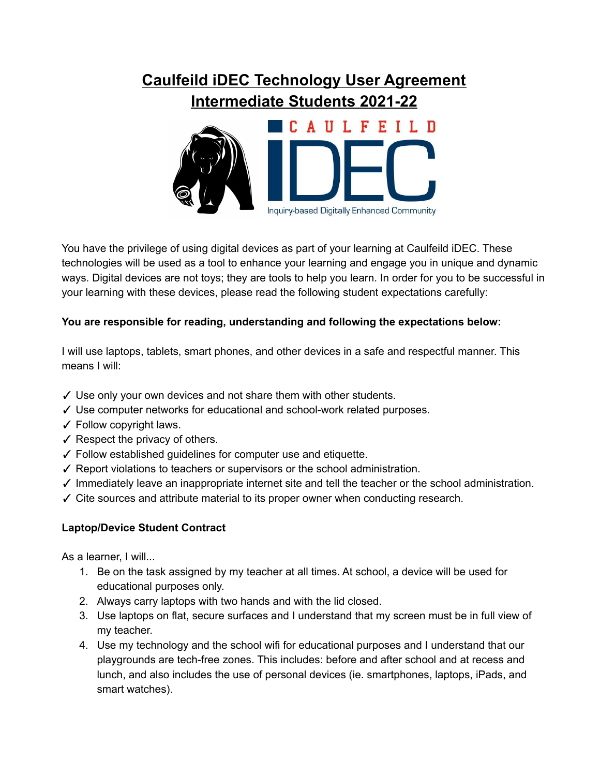## **Caulfeild iDEC Technology User Agreement Intermediate Students 2021-22**



You have the privilege of using digital devices as part of your learning at Caulfeild iDEC. These technologies will be used as a tool to enhance your learning and engage you in unique and dynamic ways. Digital devices are not toys; they are tools to help you learn. In order for you to be successful in your learning with these devices, please read the following student expectations carefully:

## **You are responsible for reading, understanding and following the expectations below:**

I will use laptops, tablets, smart phones, and other devices in a safe and respectful manner. This means I will:

- ✓ Use only your own devices and not share them with other students.
- ✓ Use computer networks for educational and school-work related purposes.
- $\checkmark$  Follow copyright laws.
- $\checkmark$  Respect the privacy of others.
- ✓ Follow established guidelines for computer use and etiquette.
- ✓ Report violations to teachers or supervisors or the school administration.
- ✓ Immediately leave an inappropriate internet site and tell the teacher or the school administration.
- ✓ Cite sources and attribute material to its proper owner when conducting research.

## **Laptop/Device Student Contract**

As a learner, I will...

- 1. Be on the task assigned by my teacher at all times. At school, a device will be used for educational purposes only.
- 2. Always carry laptops with two hands and with the lid closed.
- 3. Use laptops on flat, secure surfaces and I understand that my screen must be in full view of my teacher.
- 4. Use my technology and the school wifi for educational purposes and I understand that our playgrounds are tech-free zones. This includes: before and after school and at recess and lunch, and also includes the use of personal devices (ie. smartphones, laptops, iPads, and smart watches).